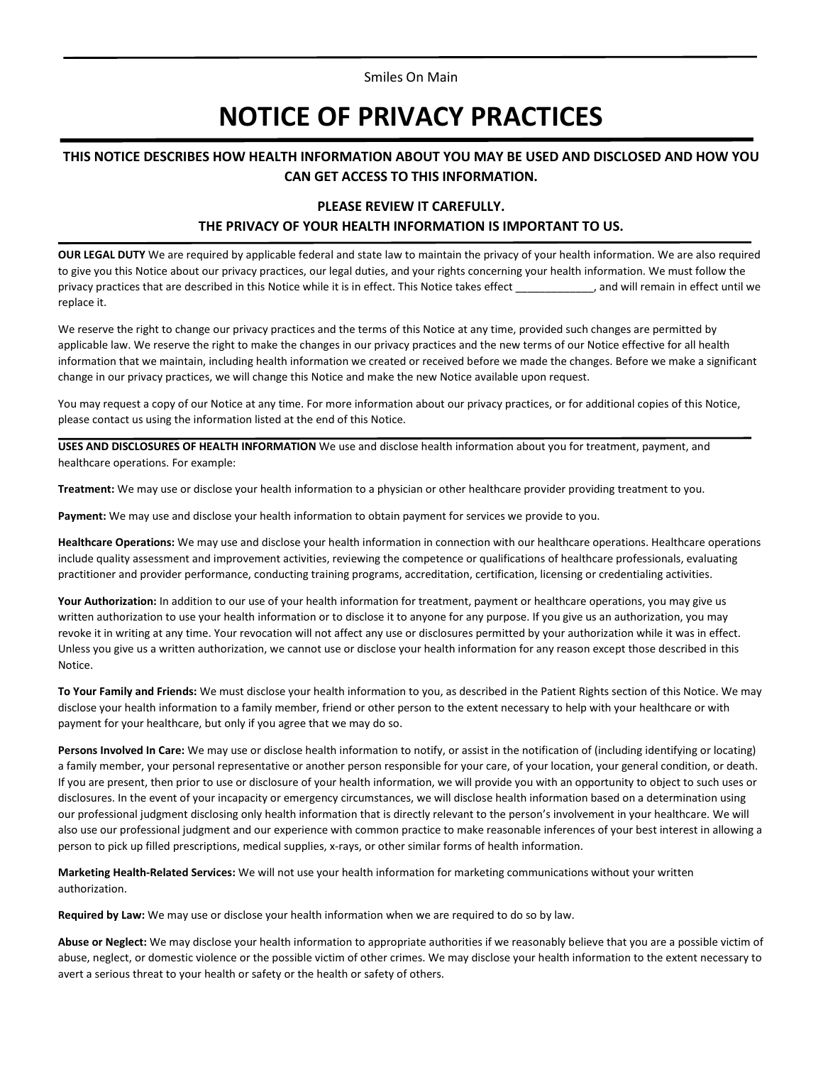Smiles On Main

# **NOTICE OF PRIVACY PRACTICES**

## **THIS NOTICE DESCRIBES HOW HEALTH INFORMATION ABOUT YOU MAY BE USED AND DISCLOSED AND HOW YOU CAN GET ACCESS TO THIS INFORMATION.**

## **PLEASE REVIEW IT CAREFULLY. THE PRIVACY OF YOUR HEALTH INFORMATION IS IMPORTANT TO US.**

**OUR LEGAL DUTY** We are required by applicable federal and state law to maintain the privacy of your health information. We are also required to give you this Notice about our privacy practices, our legal duties, and your rights concerning your health information. We must follow the privacy practices that are described in this Notice while it is in effect. This Notice takes effect \_\_\_\_\_\_\_\_\_\_\_\_\_, and will remain in effect until we replace it.

We reserve the right to change our privacy practices and the terms of this Notice at any time, provided such changes are permitted by applicable law. We reserve the right to make the changes in our privacy practices and the new terms of our Notice effective for all health information that we maintain, including health information we created or received before we made the changes. Before we make a significant change in our privacy practices, we will change this Notice and make the new Notice available upon request.

You may request a copy of our Notice at any time. For more information about our privacy practices, or for additional copies of this Notice, please contact us using the information listed at the end of this Notice.

**USES AND DISCLOSURES OF HEALTH INFORMATION** We use and disclose health information about you for treatment, payment, and healthcare operations. For example:

**Treatment:** We may use or disclose your health information to a physician or other healthcare provider providing treatment to you.

**Payment:** We may use and disclose your health information to obtain payment for services we provide to you.

**Healthcare Operations:** We may use and disclose your health information in connection with our healthcare operations. Healthcare operations include quality assessment and improvement activities, reviewing the competence or qualifications of healthcare professionals, evaluating practitioner and provider performance, conducting training programs, accreditation, certification, licensing or credentialing activities.

**Your Authorization:** In addition to our use of your health information for treatment, payment or healthcare operations, you may give us written authorization to use your health information or to disclose it to anyone for any purpose. If you give us an authorization, you may revoke it in writing at any time. Your revocation will not affect any use or disclosures permitted by your authorization while it was in effect. Unless you give us a written authorization, we cannot use or disclose your health information for any reason except those described in this Notice.

**To Your Family and Friends:** We must disclose your health information to you, as described in the Patient Rights section of this Notice. We may disclose your health information to a family member, friend or other person to the extent necessary to help with your healthcare or with payment for your healthcare, but only if you agree that we may do so.

**Persons Involved In Care:** We may use or disclose health information to notify, or assist in the notification of (including identifying or locating) a family member, your personal representative or another person responsible for your care, of your location, your general condition, or death. If you are present, then prior to use or disclosure of your health information, we will provide you with an opportunity to object to such uses or disclosures. In the event of your incapacity or emergency circumstances, we will disclose health information based on a determination using our professional judgment disclosing only health information that is directly relevant to the person's involvement in your healthcare. We will also use our professional judgment and our experience with common practice to make reasonable inferences of your best interest in allowing a person to pick up filled prescriptions, medical supplies, x-rays, or other similar forms of health information.

**Marketing Health-Related Services:** We will not use your health information for marketing communications without your written authorization.

**Required by Law:** We may use or disclose your health information when we are required to do so by law.

**Abuse or Neglect:** We may disclose your health information to appropriate authorities if we reasonably believe that you are a possible victim of abuse, neglect, or domestic violence or the possible victim of other crimes. We may disclose your health information to the extent necessary to avert a serious threat to your health or safety or the health or safety of others.